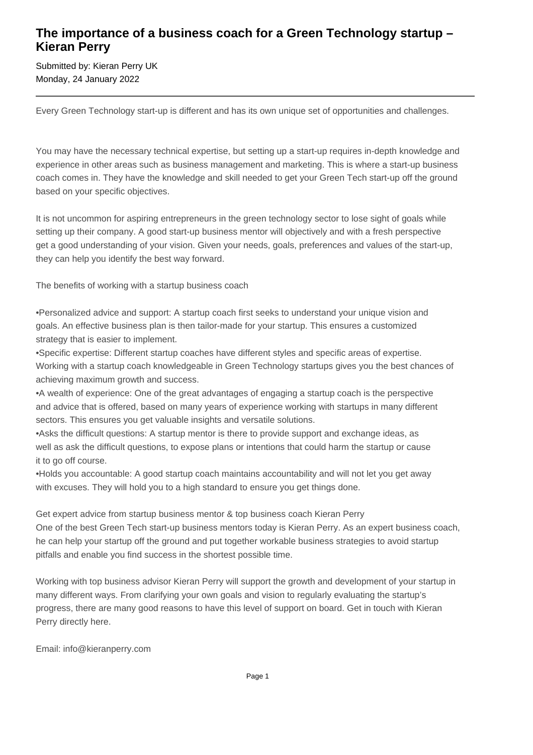## **The importance of a business coach for a Green Technology startup – Kieran Perry**

Submitted by: Kieran Perry UK Monday, 24 January 2022

Every Green Technology start-up is different and has its own unique set of opportunities and challenges.

You may have the necessary technical expertise, but setting up a start-up requires in-depth knowledge and experience in other areas such as business management and marketing. This is where a start-up business coach comes in. They have the knowledge and skill needed to get your Green Tech start-up off the ground based on your specific objectives.

It is not uncommon for aspiring entrepreneurs in the green technology sector to lose sight of goals while setting up their company. A good start-up business mentor will objectively and with a fresh perspective get a good understanding of your vision. Given your needs, goals, preferences and values of the start-up, they can help you identify the best way forward.

The benefits of working with a startup business coach

• Personalized advice and support: A startup coach first seeks to understand your unique vision and goals. An effective business plan is then tailor-made for your startup. This ensures a customized strategy that is easier to implement.

• Specific expertise: Different startup coaches have different styles and specific areas of expertise. Working with a startup coach knowledgeable in Green Technology startups gives you the best chances of achieving maximum growth and success.

• A wealth of experience: One of the great advantages of engaging a startup coach is the perspective and advice that is offered, based on many years of experience working with startups in many different sectors. This ensures you get valuable insights and versatile solutions.

• Asks the difficult questions: A startup mentor is there to provide support and exchange ideas, as well as ask the difficult questions, to expose plans or intentions that could harm the startup or cause it to go off course.

• Holds you accountable: A good startup coach maintains accountability and will not let you get away with excuses. They will hold you to a high standard to ensure you get things done.

Get expert advice from startup business mentor & top business coach Kieran Perry One of the best Green Tech start-up business mentors today is Kieran Perry. As an expert business coach, he can help your startup off the ground and put together workable business strategies to avoid startup pitfalls and enable you find success in the shortest possible time.

Working with top business advisor Kieran Perry will support the growth and development of your startup in many different ways. From clarifying your own goals and vision to regularly evaluating the startup's progress, there are many good reasons to have this level of support on board. Get in touch with Kieran Perry directly here.

Email: info@kieranperry.com